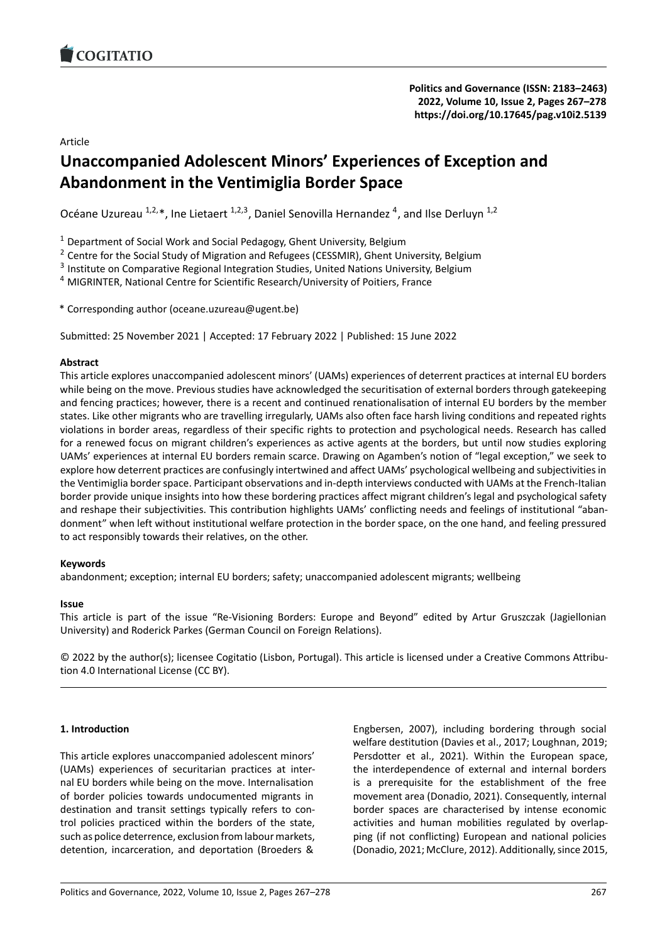# Article

# **Unaccompanied Adolescent Minors' Experience[s of Exception and](https://doi.org/10.17645/pag.v10i2.5139) Abandonment in the Ventimiglia Border Space**

Océane Uzureau  $^{1,2,*}$ , Ine Lietaert  $^{1,2,3}$ , Daniel Senovilla Hernandez  $^4$ , and Ilse Derluyn  $^{1,2}$ 

 $1$  Department of Social Work and Social Pedagogy, Ghent University, Belgium

<sup>2</sup> Centre for the Social Study of Migration and Refugees (CESSMIR), Ghent University, Belgium

<sup>3</sup> Institute on Comparative Regional Integration Studies, United Nations University, Belgium

<sup>4</sup> MIGRINTER, National Centre for Scientific Research/University of Poitiers, France

\* Corresponding author (oceane.uzureau@ugent.be)

Submitted: 25 November 2021 | Accepted: 17 February 2022 | Published: 15 June 2022

### **Abstract**

This article explores unaccompanied adolescent minors' (UAMs) experiences of deterrent practices at internal EU borders while being on the move. Previous studies have acknowledged the securitisation of external borders through gatekeeping and fencing practices; however, there is a recent and continued renationalisation of internal EU borders by the member states. Like other migrants who are travelling irregularly, UAMs also often face harsh living conditions and repeated rights violations in border areas, regardless of their specific rights to protection and psychological needs. Research has called for a renewed focus on migrant children's experiences as active agents at the borders, but until now studies exploring UAMs' experiences at internal EU borders remain scarce. Drawing on Agamben's notion of "legal exception," we seek to explore how deterrent practices are confusingly intertwined and affect UAMs' psychological wellbeing and subjectivities in the Ventimiglia border space. Participant observations and in‐depth interviews conducted with UAMs at the French‐Italian border provide unique insights into how these bordering practices affect migrant children's legal and psychological safety and reshape their subjectivities. This contribution highlights UAMs' conflicting needs and feelings of institutional "abandonment" when left without institutional welfare protection in the border space, on the one hand, and feeling pressured to act responsibly towards their relatives, on the other.

#### **Keywords**

abandonment; exception; internal EU borders; safety; unaccompanied adolescent migrants; wellbeing

#### **Issue**

This article is part of the issue "Re‐Visioning Borders: Europe and Beyond" edited by Artur Gruszczak (Jagiellonian University) and Roderick Parkes (German Council on Foreign Relations).

© 2022 by the author(s); licensee Cogitatio (Lisbon, Portugal). This article is licensed under a Creative Commons Attribu‐ tion 4.0 International License (CC BY).

### **1. Introduction**

This article explores unaccompanied adolescent minors' (UAMs) experiences of securitarian practices at inter‐ nal EU borders while being on the move. Internalisation of border policies towards undocumented migrants in destination and transit settings typically refers to con‐ trol policies practiced within the borders of the state, such as police deterrence, exclusion from labour markets, detention, incarceration, and deportation (Broeders &

Engbersen, 2007), including bordering through social welfare destitution (Davies et al., 2017; Loughnan, 2019; Persdotter et al., 2021). Within the European space, the interdependence of external and internal borders is a prerequisite for the establishment of the free movement area (Donadio, 2021). Consequently, internal border spaces are characterised by intense economic activities and human mobilities regulated by overlap‐ ping (if not conflicting) European and national policies (Donadio, 2021; McClure, 2012). Additionally, since 2015,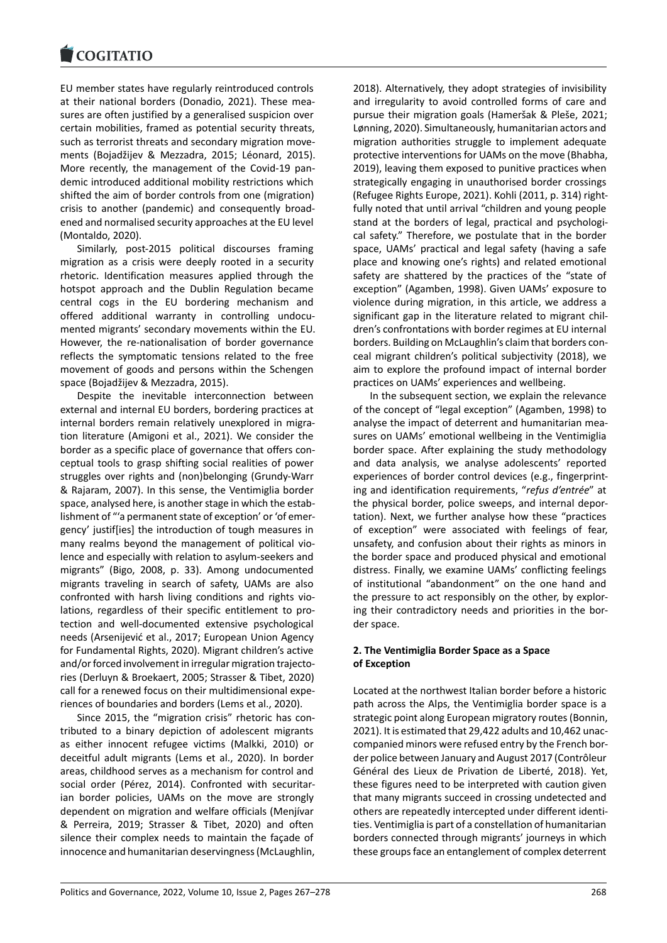EU member states have regularly reintroduced controls [at their national bor](https://www.cogitatiopress.com)ders (Donadio, 2021). These mea‐ sures are often justified by a generalised suspicion over certain mobilities, framed as potential security threats, such as terrorist threats and secondary migration movements (Bojadžijev & Mezzadra, 2015; Léonard, 2015). More recently, the management of the Covid‐19 pan‐ demic introduced additional mobility restrictions which shifted the aim of border controls from one (migration) crisis to another (pandemic) and consequently broad‐ ened and normalised security approaches at the EU level (Montaldo, 2020).

Similarly, post‐2015 political discourses framing migration as a crisis were deeply rooted in a security rhetoric. Identification measures applied through the hotspot approach and the Dublin Regulation became central cogs in the EU bordering mechanism and offered additional warranty in controlling undocu‐ mented migrants' secondary movements within the EU. However, the re-nationalisation of border governance reflects the symptomatic tensions related to the free movement of goods and persons within the Schengen space (Bojadžijev & Mezzadra, 2015).

Despite the inevitable interconnection between external and internal EU borders, bordering practices at internal borders remain relatively unexplored in migration literature (Amigoni et al., 2021). We consider the border as a specific place of governance that offers con‐ ceptual tools to grasp shifting social realities of power struggles over rights and (non)belonging (Grundy‐Warr & Rajaram, 2007). In this sense, the Ventimiglia border space, analysed here, is another stage in which the estab‐ lishment of "'a permanent state of exception' or 'of emer‐ gency' justif[ies] the introduction of tough measures in many realms beyond the management of political vio‐ lence and especially with relation to asylum‐seekers and migrants" (Bigo, 2008, p. 33). Among undocumented migrants traveling in search of safety, UAMs are also confronted with harsh living conditions and rights vio‐ lations, regardless of their specific entitlement to pro‐ tection and well‐documented extensive psychological needs (Arsenijević et al., 2017; European Union Agency for Fundamental Rights, 2020). Migrant children's active and/or forced involvement in irregular migration trajecto‐ ries (Derluyn & Broekaert, 2005; Strasser & Tibet, 2020) call for a renewed focus on their multidimensional expe‐ riences of boundaries and borders (Lems et al., 2020).

Since 2015, the "migration crisis" rhetoric has con‐ tributed to a binary depiction of adolescent migrants as either innocent refugee victims (Malkki, 2010) or deceitful adult migrants (Lems et al., 2020). In border areas, childhood serves as a mechanism for control and social order (Pérez, 2014). Confronted with securitarian border policies, UAMs on the move are strongly dependent on migration and welfare officials (Menjívar & Perreira, 2019; Strasser & Tibet, 2020) and often silence their complex needs to maintain the façade of innocence and humanitarian deservingness (McLaughlin, 2018). Alternatively, they adopt strategies of invisibility and irregularity to avoid controlled forms of care and pursue their migration goals (Hameršak & Pleše, 2021; Lønning, 2020). Simultaneously, humanitarian actors and migration authorities struggle to implement adequate protective interventions for UAMs on the move (Bhabha, 2019), leaving them exposed to punitive practices when strategically engaging in unauthorised border crossings (Refugee Rights Europe, 2021). Kohli (2011, p. 314) right‐ fully noted that until arrival "children and young people stand at the borders of legal, practical and psychologi‐ cal safety." Therefore, we postulate that in the border space, UAMs' practical and legal safety (having a safe place and knowing one's rights) and related emotional safety are shattered by the practices of the "state of exception" (Agamben, 1998). Given UAMs' exposure to violence during migration, in this article, we address a significant gap in the literature related to migrant children's confrontations with border regimes at EU internal borders. Building on McLaughlin's claim that borders con‐ ceal migrant children's political subjectivity (2018), we aim to explore the profound impact of internal border practices on UAMs' experiences and wellbeing.

In the subsequent section, we explain the relevance of the concept of "legal exception" (Agamben, 1998) to analyse the impact of deterrent and humanitarian mea‐ sures on UAMs' emotional wellbeing in the Ventimiglia border space. After explaining the study methodology and data analysis, we analyse adolescents' reported experiences of border control devices (e.g., fingerprinting and identification requirements, "*refus d'entrée*" at the physical border, police sweeps, and internal depor‐ tation). Next, we further analyse how these "practices of exception" were associated with feelings of fear, unsafety, and confusion about their rights as minors in the border space and produced physical and emotional distress. Finally, we examine UAMs' conflicting feelings of institutional "abandonment" on the one hand and the pressure to act responsibly on the other, by explor‐ ing their contradictory needs and priorities in the bor‐ der space.

# **2. The Ventimiglia Border Space as a Space of Exception**

Located at the northwest Italian border before a historic path across the Alps, the Ventimiglia border space is a strategic point along European migratory routes (Bonnin, 2021). It is estimated that 29,422 adults and 10,462 unac‐ companied minors were refused entry by the French bor‐ der police between January and August 2017 (Contrôleur Général des Lieux de Privation de Liberté, 2018). Yet, these figures need to be interpreted with caution given that many migrants succeed in crossing undetected and others are repeatedly intercepted under different identi‐ ties. Ventimiglia is part of a constellation of humanitarian borders connected through migrants' journeys in which these groups face an entanglement of complex deterrent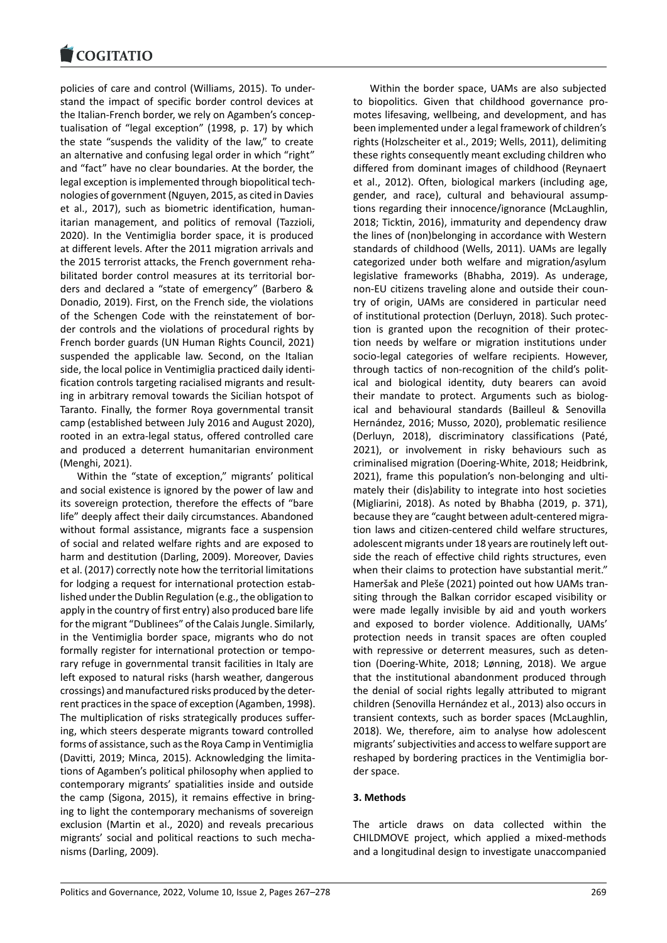policies of care and control (Williams, 2015). To under‐ [stand the impact of](https://www.cogitatiopress.com) specific border control devices at the Italian‐French border, we rely on Agamben's concep‐ tualisation of "legal exception" (1998, p. 17) by which the state "suspends the validity of the law," to create an alternative and confusing legal order in which "right" and "fact" have no clear boundaries. At the border, the legal exception is implemented through biopolitical tech‐ nologies of government (Nguyen, 2015, as cited in Davies et al., 2017), such as biometric identification, human‐ itarian management, and politics of removal (Tazzioli, 2020). In the Ventimiglia border space, it is produced at different levels. After the 2011 migration arrivals and the 2015 terrorist attacks, the French government reha‐ bilitated border control measures at its territorial bor‐ ders and declared a "state of emergency" (Barbero & Donadio, 2019). First, on the French side, the violations of the Schengen Code with the reinstatement of bor‐ der controls and the violations of procedural rights by French border guards (UN Human Rights Council, 2021) suspended the applicable law. Second, on the Italian side, the local police in Ventimiglia practiced daily identi‐ fication controls targeting racialised migrants and result‐ ing in arbitrary removal towards the Sicilian hotspot of Taranto. Finally, the former Roya governmental transit camp (established between July 2016 and August 2020), rooted in an extra‐legal status, offered controlled care and produced a deterrent humanitarian environment (Menghi, 2021).

Within the "state of exception," migrants' political and social existence is ignored by the power of law and its sovereign protection, therefore the effects of "bare life" deeply affect their daily circumstances. Abandoned without formal assistance, migrants face a suspension of social and related welfare rights and are exposed to harm and destitution (Darling, 2009). Moreover, Davies et al. (2017) correctly note how the territorial limitations for lodging a request for international protection estab‐ lished under the Dublin Regulation (e.g., the obligation to apply in the country of first entry) also produced bare life for the migrant "Dublinees" of the Calais Jungle. Similarly, in the Ventimiglia border space, migrants who do not formally register for international protection or tempo‐ rary refuge in governmental transit facilities in Italy are left exposed to natural risks (harsh weather, dangerous crossings) and manufactured risks produced by the deter‐ rent practices in the space of exception (Agamben, 1998). The multiplication of risks strategically produces suffer‐ ing, which steers desperate migrants toward controlled forms of assistance, such as the Roya Camp in Ventimiglia (Davitti, 2019; Minca, 2015). Acknowledging the limita‐ tions of Agamben's political philosophy when applied to contemporary migrants' spatialities inside and outside the camp (Sigona, 2015), it remains effective in bring‐ ing to light the contemporary mechanisms of sovereign exclusion (Martin et al., 2020) and reveals precarious migrants' social and political reactions to such mecha‐ nisms (Darling, 2009).

Within the border space, UAMs are also subjected to biopolitics. Given that childhood governance pro‐ motes lifesaving, wellbeing, and development, and has been implemented under a legal framework of children's rights (Holzscheiter et al., 2019; Wells, 2011), delimiting these rights consequently meant excluding children who differed from dominant images of childhood (Reynaert et al., 2012). Often, biological markers (including age, gender, and race), cultural and behavioural assump‐ tions regarding their innocence/ignorance (McLaughlin, 2018; Ticktin, 2016), immaturity and dependency draw the lines of (non)belonging in accordance with Western standards of childhood (Wells, 2011). UAMs are legally categorized under both welfare and migration/asylum legislative frameworks (Bhabha, 2019). As underage, non‐EU citizens traveling alone and outside their coun‐ try of origin, UAMs are considered in particular need of institutional protection (Derluyn, 2018). Such protec‐ tion is granted upon the recognition of their protec‐ tion needs by welfare or migration institutions under socio-legal categories of welfare recipients. However, through tactics of non-recognition of the child's political and biological identity, duty bearers can avoid their mandate to protect. Arguments such as biolog‐ ical and behavioural standards (Bailleul & Senovilla Hernández, 2016; Musso, 2020), problematic resilience (Derluyn, 2018), discriminatory classifications (Paté, 2021), or involvement in risky behaviours such as criminalised migration (Doering‐White, 2018; Heidbrink, 2021), frame this population's non‐belonging and ulti‐ mately their (dis)ability to integrate into host societies (Migliarini, 2018). As noted by Bhabha (2019, p. 371), because they are "caught between adult‐centered migra‐ tion laws and citizen‐centered child welfare structures, adolescent migrants under 18 years are routinely left out‐ side the reach of effective child rights structures, even when their claims to protection have substantial merit." Hameršak and Pleše (2021) pointed out how UAMs tran‐ siting through the Balkan corridor escaped visibility or were made legally invisible by aid and youth workers and exposed to border violence. Additionally, UAMs' protection needs in transit spaces are often coupled with repressive or deterrent measures, such as detention (Doering‐White, 2018; Lønning, 2018). We argue that the institutional abandonment produced through the denial of social rights legally attributed to migrant children (Senovilla Hernández et al., 2013) also occurs in transient contexts, such as border spaces (McLaughlin, 2018). We, therefore, aim to analyse how adolescent migrants' subjectivities and access to welfare support are reshaped by bordering practices in the Ventimiglia bor‐ der space.

### **3. Methods**

The article draws on data collected within the CHILDMOVE project, which applied a mixed‐methods and a longitudinal design to investigate unaccompanied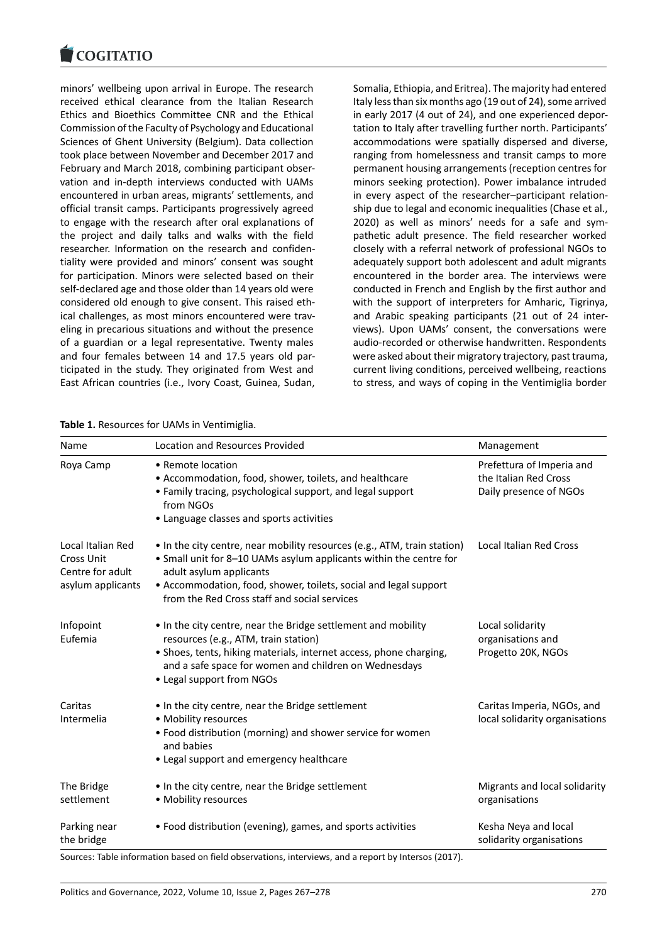#### COGHALIO

minors' wellbeing upon arrival in Europe. The research [received ethical cle](https://www.cogitatiopress.com)arance from the Italian Research Ethics and Bioethics Committee CNR and the Ethical Commission of the Faculty of Psychology and Educational Sciences of Ghent University (Belgium). Data collection took place between November and December 2017 and February and March 2018, combining participant obser‐ vation and in‐depth interviews conducted with UAMs encountered in urban areas, migrants' settlements, and official transit camps. Participants progressively agreed to engage with the research after oral explanations of the project and daily talks and walks with the field researcher. Information on the research and confiden‐ tiality were provided and minors' consent was sought for participation. Minors were selected based on their self-declared age and those older than 14 years old were considered old enough to give consent. This raised eth‐ ical challenges, as most minors encountered were traveling in precarious situations and without the presence of a guardian or a legal representative. Twenty males and four females between 14 and 17.5 years old par‐ ticipated in the study. They originated from West and East African countries (i.e., Ivory Coast, Guinea, Sudan,

# Italy less than six months ago (19 out of 24), some arrived in early 2017 (4 out of 24), and one experienced depor‐ tation to Italy after travelling further north. Participants' accommodations were spatially dispersed and diverse, ranging from homelessness and transit camps to more permanent housing arrangements (reception centres for minors seeking protection). Power imbalance intruded in every aspect of the researcher–participant relation‐ ship due to legal and economic inequalities (Chase et al., 2020) as well as minors' needs for a safe and sym‐ pathetic adult presence. The field researcher worked closely with a referral network of professional NGOs to adequately support both adolescent and adult migrants encountered in the border area. The interviews were conducted in French and English by the first author and with the support of interpreters for Amharic, Tigrinya, and Arabic speaking participants (21 out of 24 inter‐ views). Upon UAMs' consent, the conversations were audio‐recorded or otherwise handwritten. Respondents were asked about their migratory trajectory, past trauma, current living conditions, perceived wellbeing, reactions to stress, and ways of coping in the Ventimiglia border

Somalia, Ethiopia, and Eritrea). The majority had entered

| Table 1. Resources for UAMs in Ventimiglia. |  |  |
|---------------------------------------------|--|--|
|---------------------------------------------|--|--|

| Name                                                                     | <b>Location and Resources Provided</b>                                                                                                                                                                                                                                                        | Management                                                                   |
|--------------------------------------------------------------------------|-----------------------------------------------------------------------------------------------------------------------------------------------------------------------------------------------------------------------------------------------------------------------------------------------|------------------------------------------------------------------------------|
| Roya Camp                                                                | • Remote location<br>• Accommodation, food, shower, toilets, and healthcare<br>• Family tracing, psychological support, and legal support<br>from NGOs<br>• Language classes and sports activities                                                                                            | Prefettura of Imperia and<br>the Italian Red Cross<br>Daily presence of NGOs |
| Local Italian Red<br>Cross Unit<br>Centre for adult<br>asylum applicants | • In the city centre, near mobility resources (e.g., ATM, train station)<br>• Small unit for 8-10 UAMs asylum applicants within the centre for<br>adult asylum applicants<br>• Accommodation, food, shower, toilets, social and legal support<br>from the Red Cross staff and social services | <b>Local Italian Red Cross</b>                                               |
| Infopoint<br>Eufemia                                                     | • In the city centre, near the Bridge settlement and mobility<br>resources (e.g., ATM, train station)<br>• Shoes, tents, hiking materials, internet access, phone charging,<br>and a safe space for women and children on Wednesdays<br>• Legal support from NGOs                             | Local solidarity<br>organisations and<br>Progetto 20K, NGOs                  |
| Caritas<br>Intermelia                                                    | • In the city centre, near the Bridge settlement<br>• Mobility resources<br>• Food distribution (morning) and shower service for women<br>and babies<br>• Legal support and emergency healthcare                                                                                              | Caritas Imperia, NGOs, and<br>local solidarity organisations                 |
| The Bridge<br>settlement                                                 | • In the city centre, near the Bridge settlement<br>• Mobility resources                                                                                                                                                                                                                      | Migrants and local solidarity<br>organisations                               |
| Parking near<br>the bridge                                               | • Food distribution (evening), games, and sports activities                                                                                                                                                                                                                                   | Kesha Neya and local<br>solidarity organisations                             |

Sources: Table information based on field observations, interviews, and a report by Intersos (2017).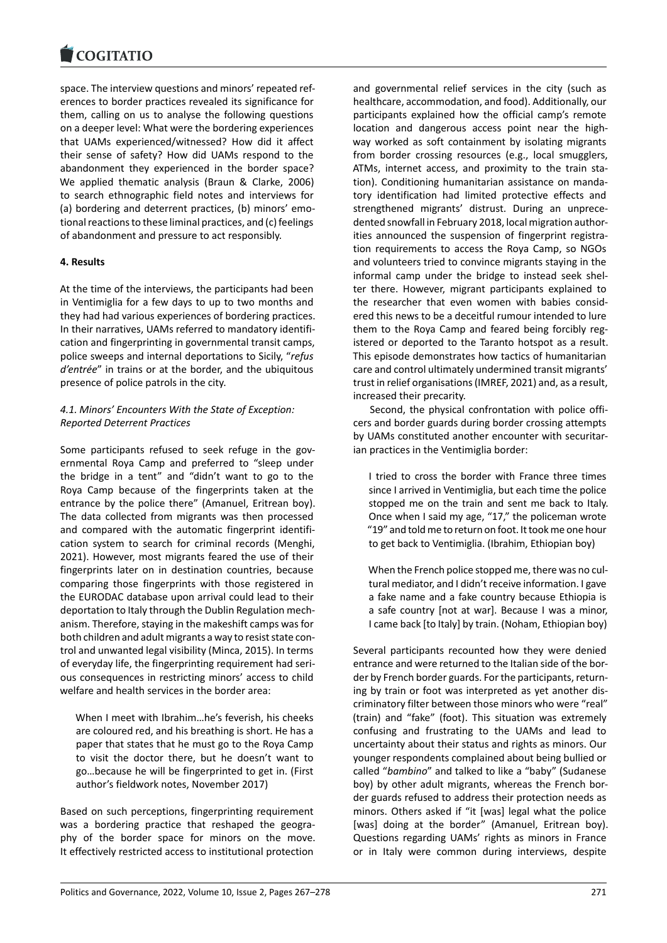space. The interview questions and minors' repeated ref‐ [erences to border pr](https://www.cogitatiopress.com)actices revealed its significance for them, calling on us to analyse the following questions on a deeper level: What were the bordering experiences that UAMs experienced/witnessed? How did it affect their sense of safety? How did UAMs respond to the abandonment they experienced in the border space? We applied thematic analysis (Braun & Clarke, 2006) to search ethnographic field notes and interviews for (a) bordering and deterrent practices, (b) minors' emo‐ tional reactions to these liminal practices, and (c) feelings of abandonment and pressure to act responsibly.

# **4. Results**

At the time of the interviews, the participants had been in Ventimiglia for a few days to up to two months and they had had various experiences of bordering practices. In their narratives, UAMs referred to mandatory identifi‐ cation and fingerprinting in governmental transit camps, police sweeps and internal deportations to Sicily, "*refus d'entrée*" in trains or at the border, and the ubiquitous presence of police patrols in the city.

# *4.1. Minors' Encounters With the State of Exception: Reported Deterrent Practices*

Some participants refused to seek refuge in the governmental Roya Camp and preferred to "sleep under the bridge in a tent" and "didn't want to go to the Roya Camp because of the fingerprints taken at the entrance by the police there" (Amanuel, Eritrean boy). The data collected from migrants was then processed and compared with the automatic fingerprint identification system to search for criminal records (Menghi, 2021). However, most migrants feared the use of their fingerprints later on in destination countries, because comparing those fingerprints with those registered in the EURODAC database upon arrival could lead to their deportation to Italy through the Dublin Regulation mech‐ anism. Therefore, staying in the makeshift camps was for both children and adult migrants a way to resist state con‐ trol and unwanted legal visibility (Minca, 2015). In terms of everyday life, the fingerprinting requirement had seri‐ ous consequences in restricting minors' access to child welfare and health services in the border area:

When I meet with Ibrahim…he's feverish, his cheeks are coloured red, and his breathing is short. He has a paper that states that he must go to the Roya Camp to visit the doctor there, but he doesn't want to go…because he will be fingerprinted to get in. (First author's fieldwork notes, November 2017)

Based on such perceptions, fingerprinting requirement was a bordering practice that reshaped the geography of the border space for minors on the move. It effectively restricted access to institutional protection

and governmental relief services in the city (such as healthcare, accommodation, and food). Additionally, our participants explained how the official camp's remote location and dangerous access point near the highway worked as soft containment by isolating migrants from border crossing resources (e.g., local smugglers, ATMs, internet access, and proximity to the train sta‐ tion). Conditioning humanitarian assistance on manda‐ tory identification had limited protective effects and strengthened migrants' distrust. During an unprece‐ dented snowfall in February 2018, local migration author‐ ities announced the suspension of fingerprint registration requirements to access the Roya Camp, so NGOs and volunteers tried to convince migrants staying in the informal camp under the bridge to instead seek shel‐ ter there. However, migrant participants explained to the researcher that even women with babies consid‐ ered this news to be a deceitful rumour intended to lure them to the Roya Camp and feared being forcibly reg‐ istered or deported to the Taranto hotspot as a result. This episode demonstrates how tactics of humanitarian care and control ultimately undermined transit migrants' trust in relief organisations (IMREF, 2021) and, as a result, increased their precarity.

Second, the physical confrontation with police offi‐ cers and border guards during border crossing attempts by UAMs constituted another encounter with securitar‐ ian practices in the Ventimiglia border:

I tried to cross the border with France three times since I arrived in Ventimiglia, but each time the police stopped me on the train and sent me back to Italy. Once when I said my age, "17," the policeman wrote "19" and told me to return on foot. It took me one hour to get back to Ventimiglia. (Ibrahim, Ethiopian boy)

When the French police stopped me, there was no cultural mediator, and I didn't receive information. I gave a fake name and a fake country because Ethiopia is a safe country [not at war]. Because I was a minor, I came back [to Italy] by train. (Noham, Ethiopian boy)

Several participants recounted how they were denied entrance and were returned to the Italian side of the bor‐ der by French border guards. For the participants, return‐ ing by train or foot was interpreted as yet another dis‐ criminatory filter between those minors who were "real" (train) and "fake" (foot). This situation was extremely confusing and frustrating to the UAMs and lead to uncertainty about their status and rights as minors. Our younger respondents complained about being bullied or called "*bambino*" and talked to like a "baby" (Sudanese boy) by other adult migrants, whereas the French bor‐ der guards refused to address their protection needs as minors. Others asked if "it [was] legal what the police [was] doing at the border" (Amanuel, Eritrean boy). Questions regarding UAMs' rights as minors in France or in Italy were common during interviews, despite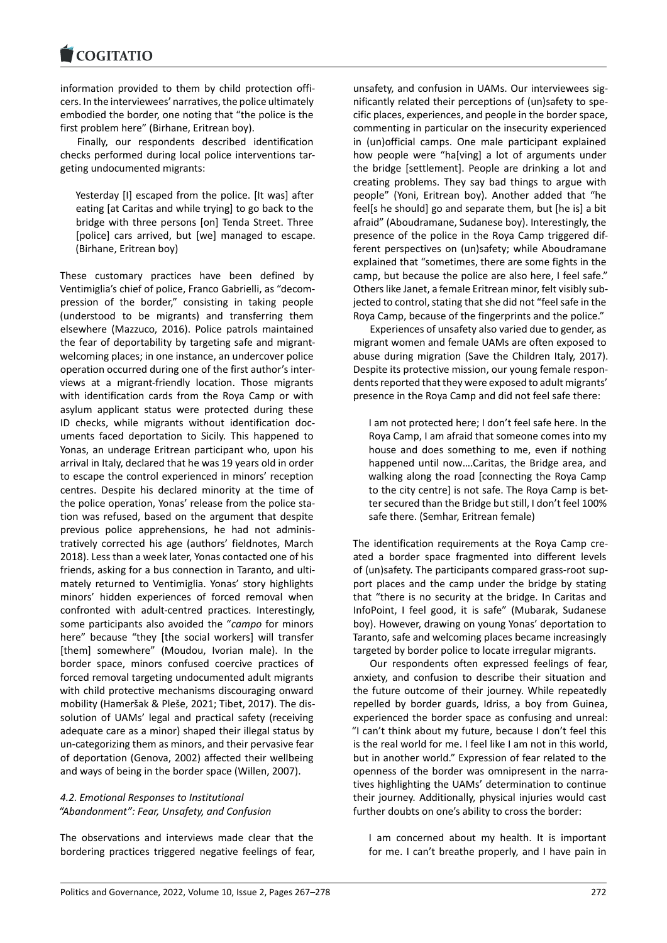information provided to them by child protection offi‐ [cers. In the interview](https://www.cogitatiopress.com)ees' narratives, the police ultimately embodied the border, one noting that "the police is the first problem here" (Birhane, Eritrean boy).

Finally, our respondents described identification checks performed during local police interventions tar‐ geting undocumented migrants:

Yesterday [I] escaped from the police. [It was] after eating [at Caritas and while trying] to go back to the bridge with three persons [on] Tenda Street. Three [police] cars arrived, but [we] managed to escape. (Birhane, Eritrean boy)

These customary practices have been defined by Ventimiglia's chief of police, Franco Gabrielli, as "decom‐ pression of the border," consisting in taking people (understood to be migrants) and transferring them elsewhere (Mazzuco, 2016). Police patrols maintained the fear of deportability by targeting safe and migrant‐ welcoming places; in one instance, an undercover police operation occurred during one of the first author's inter‐ views at a migrant‐friendly location. Those migrants with identification cards from the Roya Camp or with asylum applicant status were protected during these ID checks, while migrants without identification doc‐ uments faced deportation to Sicily. This happened to Yonas, an underage Eritrean participant who, upon his arrival in Italy, declared that he was 19 years old in order to escape the control experienced in minors' reception centres. Despite his declared minority at the time of the police operation, Yonas' release from the police sta‐ tion was refused, based on the argument that despite previous police apprehensions, he had not adminis‐ tratively corrected his age (authors' fieldnotes, March 2018). Less than a week later, Yonas contacted one of his friends, asking for a bus connection in Taranto, and ulti‐ mately returned to Ventimiglia. Yonas' story highlights minors' hidden experiences of forced removal when confronted with adult‐centred practices. Interestingly, some participants also avoided the "*campo* for minors here" because "they [the social workers] will transfer [them] somewhere" (Moudou, Ivorian male). In the border space, minors confused coercive practices of forced removal targeting undocumented adult migrants with child protective mechanisms discouraging onward mobility (Hameršak & Pleše, 2021; Tibet, 2017). The dis‐ solution of UAMs' legal and practical safety (receiving adequate care as a minor) shaped their illegal status by un‐categorizing them as minors, and their pervasive fear of deportation (Genova, 2002) affected their wellbeing and ways of being in the border space (Willen, 2007).

### *4.2. Emotional Responses to Institutional "Abandonment": Fear, Unsafety, and Confusion*

The observations and interviews made clear that the bordering practices triggered negative feelings of fear, unsafety, and confusion in UAMs. Our interviewees sig‐ nificantly related their perceptions of (un)safety to spe‐ cific places, experiences, and people in the border space, commenting in particular on the insecurity experienced in (un)official camps. One male participant explained how people were "ha[ving] a lot of arguments under the bridge [settlement]. People are drinking a lot and creating problems. They say bad things to argue with people" (Yoni, Eritrean boy). Another added that "he feel[s he should] go and separate them, but [he is] a bit afraid" (Aboudramane, Sudanese boy). Interestingly, the presence of the police in the Roya Camp triggered dif‐ ferent perspectives on (un)safety; while Aboudramane explained that "sometimes, there are some fights in the camp, but because the police are also here, I feel safe." Others like Janet, a female Eritrean minor, felt visibly sub‐ jected to control, stating that she did not "feel safe in the Roya Camp, because of the fingerprints and the police."

Experiences of unsafety also varied due to gender, as migrant women and female UAMs are often exposed to abuse during migration (Save the Children Italy, 2017). Despite its protective mission, our young female respon‐ dents reported that they were exposed to adult migrants' presence in the Roya Camp and did not feel safe there:

I am not protected here; I don't feel safe here. In the Roya Camp, I am afraid that someone comes into my house and does something to me, even if nothing happened until now….Caritas, the Bridge area, and walking along the road [connecting the Roya Camp to the city centre] is not safe. The Roya Camp is bet‐ ter secured than the Bridge but still, I don't feel 100% safe there. (Semhar, Eritrean female)

The identification requirements at the Roya Camp cre‐ ated a border space fragmented into different levels of (un)safety. The participants compared grass‐root sup‐ port places and the camp under the bridge by stating that "there is no security at the bridge. In Caritas and InfoPoint, I feel good, it is safe" (Mubarak, Sudanese boy). However, drawing on young Yonas' deportation to Taranto, safe and welcoming places became increasingly targeted by border police to locate irregular migrants.

Our respondents often expressed feelings of fear, anxiety, and confusion to describe their situation and the future outcome of their journey. While repeatedly repelled by border guards, Idriss, a boy from Guinea, experienced the border space as confusing and unreal: "I can't think about my future, because I don't feel this is the real world for me. I feel like I am not in this world, but in another world." Expression of fear related to the openness of the border was omnipresent in the narra‐ tives highlighting the UAMs' determination to continue their journey. Additionally, physical injuries would cast further doubts on one's ability to cross the border:

I am concerned about my health. It is important for me. I can't breathe properly, and I have pain in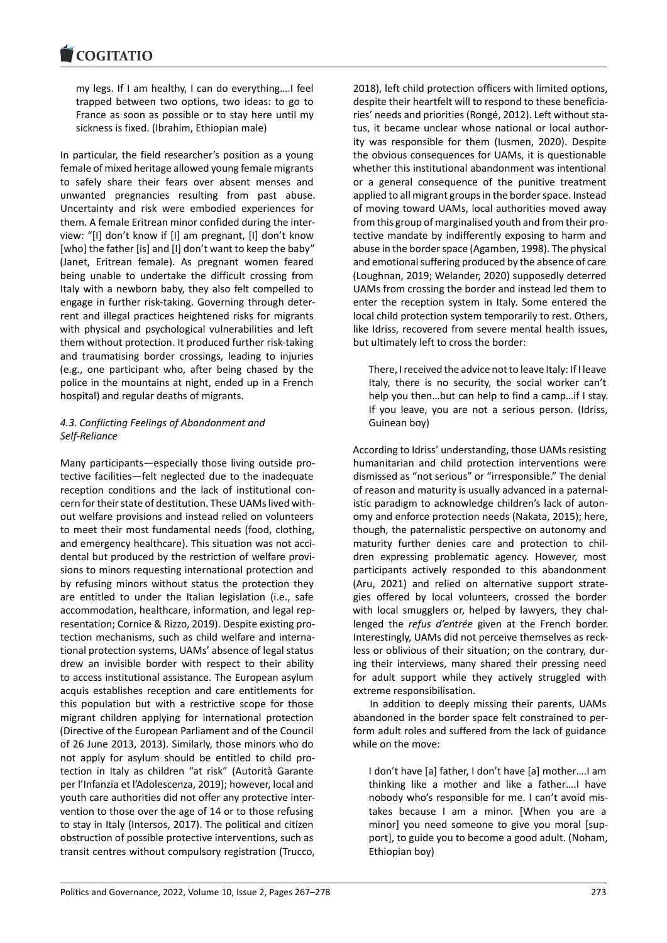my legs. If I am healthy, I can do everything….I feel [trapped between](https://www.cogitatiopress.com) two options, two ideas: to go to France as soon as possible or to stay here until my sickness is fixed. (Ibrahim, Ethiopian male)

In particular, the field researcher's position as a young female of mixed heritage allowed young female migrants to safely share their fears over absent menses and unwanted pregnancies resulting from past abuse. Uncertainty and risk were embodied experiences for them. A female Eritrean minor confided during the inter‐ view: "[I] don't know if [I] am pregnant, [I] don't know [who] the father [is] and [I] don't want to keep the baby" (Janet, Eritrean female). As pregnant women feared being unable to undertake the difficult crossing from Italy with a newborn baby, they also felt compelled to engage in further risk-taking. Governing through deterrent and illegal practices heightened risks for migrants with physical and psychological vulnerabilities and left them without protection. It produced further risk‐taking and traumatising border crossings, leading to injuries (e.g., one participant who, after being chased by the police in the mountains at night, ended up in a French hospital) and regular deaths of migrants.

# *4.3. Conflicting Feelings of Abandonment and Self‐Reliance*

Many participants—especially those living outside pro‐ tective facilities—felt neglected due to the inadequate reception conditions and the lack of institutional con‐ cern for their state of destitution. These UAMs lived with‐ out welfare provisions and instead relied on volunteers to meet their most fundamental needs (food, clothing, and emergency healthcare). This situation was not accidental but produced by the restriction of welfare provi‐ sions to minors requesting international protection and by refusing minors without status the protection they are entitled to under the Italian legislation (i.e., safe accommodation, healthcare, information, and legal rep‐ resentation; Cornice & Rizzo, 2019). Despite existing pro‐ tection mechanisms, such as child welfare and interna‐ tional protection systems, UAMs' absence of legal status drew an invisible border with respect to their ability to access institutional assistance. The European asylum acquis establishes reception and care entitlements for this population but with a restrictive scope for those migrant children applying for international protection (Directive of the European Parliament and of the Council of 26 June 2013, 2013). Similarly, those minors who do not apply for asylum should be entitled to child pro‐ tection in Italy as children "at risk" (Autorità Garante per l'Infanzia et l'Adolescenza, 2019); however, local and youth care authorities did not offer any protective inter‐ vention to those over the age of 14 or to those refusing to stay in Italy (Intersos, 2017). The political and citizen obstruction of possible protective interventions, such as transit centres without compulsory registration (Trucco, 2018), left child protection officers with limited options, despite their heartfelt will to respond to these beneficia‐ ries' needs and priorities (Rongé, 2012). Left without sta‐ tus, it became unclear whose national or local author‐ ity was responsible for them (Iusmen, 2020). Despite the obvious consequences for UAMs, it is questionable whether this institutional abandonment was intentional or a general consequence of the punitive treatment applied to all migrant groups in the border space. Instead of moving toward UAMs, local authorities moved away from this group of marginalised youth and from their pro‐ tective mandate by indifferently exposing to harm and abuse in the border space (Agamben, 1998). The physical and emotional suffering produced by the absence of care (Loughnan, 2019; Welander, 2020) supposedly deterred UAMs from crossing the border and instead led them to enter the reception system in Italy. Some entered the local child protection system temporarily to rest. Others, like Idriss, recovered from severe mental health issues, but ultimately left to cross the border:

There, I received the advice not to leave Italy: If I leave Italy, there is no security, the social worker can't help you then…but can help to find a camp…if I stay. If you leave, you are not a serious person. (Idriss, Guinean boy)

According to Idriss' understanding, those UAMs resisting humanitarian and child protection interventions were dismissed as "not serious" or "irresponsible." The denial of reason and maturity is usually advanced in a paternal‐ istic paradigm to acknowledge children's lack of autonomy and enforce protection needs (Nakata, 2015); here, though, the paternalistic perspective on autonomy and maturity further denies care and protection to children expressing problematic agency. However, most participants actively responded to this abandonment (Aru, 2021) and relied on alternative support strate‐ gies offered by local volunteers, crossed the border with local smugglers or, helped by lawyers, they challenged the *refus d'entrée* given at the French border. Interestingly, UAMs did not perceive themselves as reck‐ less or oblivious of their situation; on the contrary, dur‐ ing their interviews, many shared their pressing need for adult support while they actively struggled with extreme responsibilisation.

In addition to deeply missing their parents, UAMs abandoned in the border space felt constrained to per‐ form adult roles and suffered from the lack of guidance while on the move:

I don't have [a] father, I don't have [a] mother….I am thinking like a mother and like a father….I have nobody who's responsible for me. I can't avoid mis‐ takes because I am a minor. [When you are a minor] you need someone to give you moral [sup‐ port], to guide you to become a good adult. (Noham, Ethiopian boy)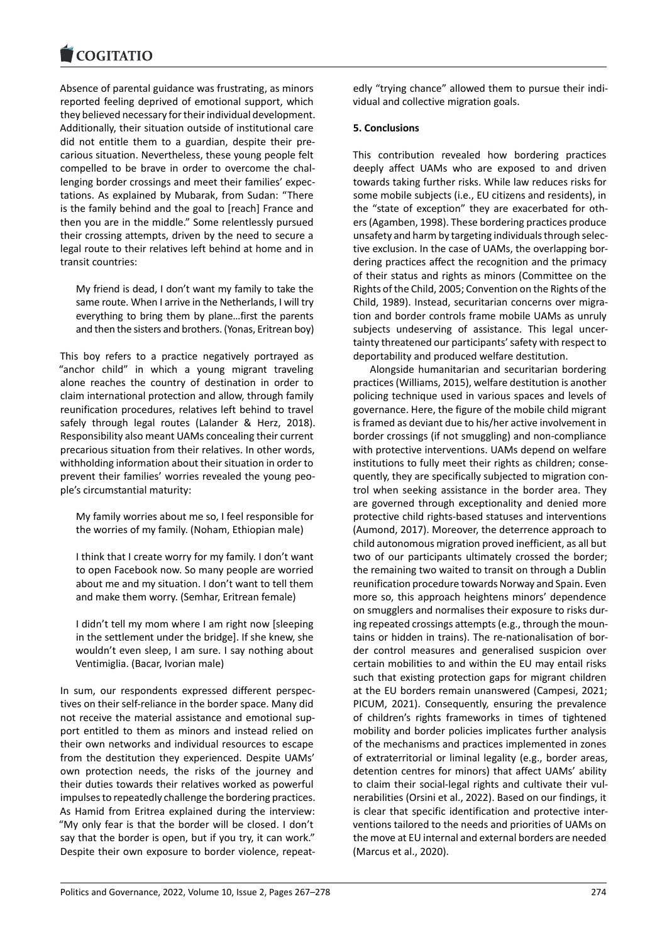Absence of parental guidance was frustrating, as minors [reported feeling dep](https://www.cogitatiopress.com)rived of emotional support, which they believed necessary for their individual development. Additionally, their situation outside of institutional care did not entitle them to a guardian, despite their pre‐ carious situation. Nevertheless, these young people felt compelled to be brave in order to overcome the chal‐ lenging border crossings and meet their families' expec‐ tations. As explained by Mubarak, from Sudan: "There is the family behind and the goal to [reach] France and then you are in the middle." Some relentlessly pursued their crossing attempts, driven by the need to secure a legal route to their relatives left behind at home and in transit countries:

My friend is dead, I don't want my family to take the same route. When I arrive in the Netherlands, I will try everything to bring them by plane…first the parents and then the sisters and brothers. (Yonas, Eritrean boy)

This boy refers to a practice negatively portrayed as "anchor child" in which a young migrant traveling alone reaches the country of destination in order to claim international protection and allow, through family reunification procedures, relatives left behind to travel safely through legal routes (Lalander & Herz, 2018). Responsibility also meant UAMs concealing their current precarious situation from their relatives. In other words, withholding information about their situation in order to prevent their families' worries revealed the young peo‐ ple's circumstantial maturity:

My family worries about me so, I feel responsible for the worries of my family. (Noham, Ethiopian male)

I think that I create worry for my family. I don't want to open Facebook now. So many people are worried about me and my situation. I don't want to tell them and make them worry. (Semhar, Eritrean female)

I didn't tell my mom where I am right now [sleeping in the settlement under the bridge]. If she knew, she wouldn't even sleep, I am sure. I say nothing about Ventimiglia. (Bacar, Ivorian male)

In sum, our respondents expressed different perspec‐ tives on their self‐reliance in the border space. Many did not receive the material assistance and emotional sup‐ port entitled to them as minors and instead relied on their own networks and individual resources to escape from the destitution they experienced. Despite UAMs' own protection needs, the risks of the journey and their duties towards their relatives worked as powerful impulses to repeatedly challenge the bordering practices. As Hamid from Eritrea explained during the interview: "My only fear is that the border will be closed. I don't say that the border is open, but if you try, it can work." Despite their own exposure to border violence, repeat‐ edly "trying chance" allowed them to pursue their indi‐ vidual and collective migration goals.

### **5. Conclusions**

This contribution revealed how bordering practices deeply affect UAMs who are exposed to and driven towards taking further risks. While law reduces risks for some mobile subjects (i.e., EU citizens and residents), in the "state of exception" they are exacerbated for oth‐ ers (Agamben, 1998). These bordering practices produce unsafety and harm by targeting individuals through selec‐ tive exclusion. In the case of UAMs, the overlapping bor‐ dering practices affect the recognition and the primacy of their status and rights as minors (Committee on the Rights of the Child, 2005; Convention on the Rights of the Child, 1989). Instead, securitarian concerns over migra‐ tion and border controls frame mobile UAMs as unruly subjects undeserving of assistance. This legal uncertainty threatened our participants' safety with respect to deportability and produced welfare destitution.

Alongside humanitarian and securitarian bordering practices (Williams, 2015), welfare destitution is another policing technique used in various spaces and levels of governance. Here, the figure of the mobile child migrant is framed as deviant due to his/her active involvement in border crossings (if not smuggling) and non‐compliance with protective interventions. UAMs depend on welfare institutions to fully meet their rights as children; conse‐ quently, they are specifically subjected to migration con‐ trol when seeking assistance in the border area. They are governed through exceptionality and denied more protective child rights‐based statuses and interventions (Aumond, 2017). Moreover, the deterrence approach to child autonomous migration proved inefficient, as all but two of our participants ultimately crossed the border; the remaining two waited to transit on through a Dublin reunification procedure towards Norway and Spain. Even more so, this approach heightens minors' dependence on smugglers and normalises their exposure to risks dur‐ ing repeated crossings attempts (e.g., through the moun‐ tains or hidden in trains). The re‐nationalisation of bor‐ der control measures and generalised suspicion over certain mobilities to and within the EU may entail risks such that existing protection gaps for migrant children at the EU borders remain unanswered (Campesi, 2021; PICUM, 2021). Consequently, ensuring the prevalence of children's rights frameworks in times of tightened mobility and border policies implicates further analysis of the mechanisms and practices implemented in zones of extraterritorial or liminal legality (e.g., border areas, detention centres for minors) that affect UAMs' ability to claim their social‐legal rights and cultivate their vul‐ nerabilities (Orsini et al., 2022). Based on our findings, it is clear that specific identification and protective inter‐ ventions tailored to the needs and priorities of UAMs on the move at EU internal and external borders are needed (Marcus et al., 2020).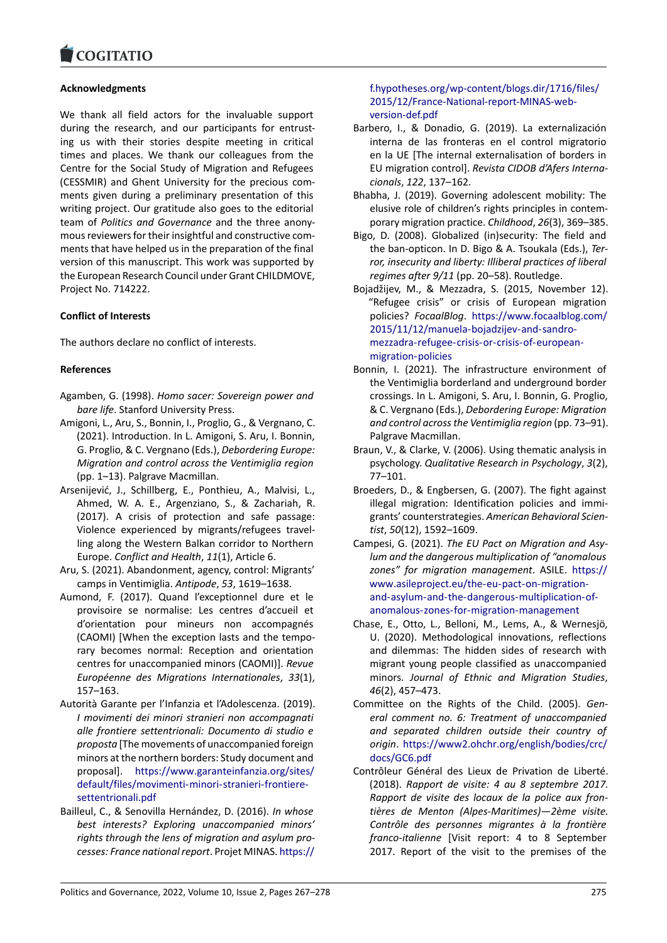#### COMITATIO

### **Acknowledgments**

[We thank all field](https://www.cogitatiopress.com) actors for the invaluable support during the research, and our participants for entrusting us with their stories despite meeting in critical times and places. We thank our colleagues from the Centre for the Social Study of Migration and Refugees (CESSMIR) and Ghent University for the precious com‐ ments given during a preliminary presentation of this writing project. Our gratitude also goes to the editorial team of *Politics and Governance* and the three anony‐ mous reviewers for their insightful and constructive com‐ ments that have helped us in the preparation of the final version of this manuscript. This work was supported by the European Research Council under Grant CHILDMOVE, Project No. 714222.

### **Conflict of Interests**

The authors declare no conflict of interests.

### **References**

- Agamben, G. (1998). *Homo sacer: Sovereign power and bare life*. Stanford University Press.
- Amigoni, L., Aru, S., Bonnin, I., Proglio, G., & Vergnano, C. (2021). Introduction. In L. Amigoni, S. Aru, I. Bonnin, G. Proglio, & C. Vergnano (Eds.), *Debordering Europe: Migration and control across the Ventimiglia region* (pp. 1–13). Palgrave Macmillan.
- Arsenijević, J., Schillberg, E., Ponthieu, A., Malvisi, L., Ahmed, W. A. E., Argenziano, S., & Zachariah, R. (2017). A crisis of protection and safe passage: Violence experienced by migrants/refugees travel‐ ling along the Western Balkan corridor to Northern Europe. *Conflict and Health*, *11*(1), Article 6.
- Aru, S. (2021). Abandonment, agency, control: Migrants' camps in Ventimiglia. *Antipode*, *53*, 1619–1638.
- Aumond, F. (2017). Quand l'exceptionnel dure et le provisoire se normalise: Les centres d'accueil et d'orientation pour mineurs non accompagnés (CAOMI) [When the exception lasts and the tempo‐ rary becomes normal: Reception and orientation centres for unaccompanied minors (CAOMI)]. *Revue Européenne des Migrations Internationales*, *33*(1), 157–163.
- Autorità Garante per l'Infanzia et l'Adolescenza. (2019). *I movimenti dei minori stranieri non accompagnati alle frontiere settentrionali: Documento di studio e proposta* [The movements of unaccompanied foreign minors at the northern borders: Study document and proposal]. https://www.garanteinfanzia.org/sites/ default/files/movimenti‐minori‐stranieri‐frontiere‐ settentrionali.pdf
- Bailleul, C., & Senovilla Hernández, D. (2016). *In whose best interes[ts? Exploring unaccompanied minors'](https://www.garanteinfanzia.org/sites/default/files/movimenti-minori-stranieri-frontiere-settentrionali.pdf) [rights through the lens of migration and asylum pro](https://www.garanteinfanzia.org/sites/default/files/movimenti-minori-stranieri-frontiere-settentrionali.pdf)‐ [cesses: France nat](https://www.garanteinfanzia.org/sites/default/files/movimenti-minori-stranieri-frontiere-settentrionali.pdf)ional report*. Projet MINAS. https://

### f.hypotheses.org/wp‐content/blogs.dir/1716/files/ 2015/12/France‐National‐report‐MINAS‐web‐ version‐def.pdf

- Barbero, I., & Donadio, G. (2019). La externalización [interna de las fronteras en el control migratori](https://f.hypotheses.org/wp-content/blogs.dir/1716/files/2015/12/France-National-report-MINAS-web-version-def.pdf)o [en la UE \[The internal externalisation of bord](https://f.hypotheses.org/wp-content/blogs.dir/1716/files/2015/12/France-National-report-MINAS-web-version-def.pdf)ers in [EU migration co](https://f.hypotheses.org/wp-content/blogs.dir/1716/files/2015/12/France-National-report-MINAS-web-version-def.pdf)ntrol]. *Revista CIDOB d'Afers Interna‐ cionals*, *122*, 137–162.
- Bhabha, J. (2019). Governing adolescent mobility: The elusive role of children's rights principles in contem‐ porary migration practice. *Childhood*, *26*(3), 369–385.
- Bigo, D. (2008). Globalized (in)security: The field and the ban‐opticon. In D. Bigo & A. Tsoukala (Eds.), *Ter‐ ror, insecurity and liberty: Illiberal practices of liberal regimes after 9/11* (pp. 20–58). Routledge.
- Bojadžijev, M., & Mezzadra, S. (2015, November 12). "Refugee crisis" or crisis of European migration policies? *FocaalBlog*. https://www.focaalblog.com/ 2015/11/12/manuela‐bojadzijev‐and‐sandro‐ mezzadra‐refugee‐crisis‐or‐crisis‐of‐european‐ migration‐policies
- Bonnin, I. (2021). The i[nfrastructure environment of](https://www.focaalblog.com/2015/11/12/manuela-bojadzijev-and-sandro-mezzadra-refugee-crisis-or-crisis-of-european-migration-policies) [the Ventimiglia borderland and underground b](https://www.focaalblog.com/2015/11/12/manuela-bojadzijev-and-sandro-mezzadra-refugee-crisis-or-crisis-of-european-migration-policies)order [crossings. In L. Amigoni, S. Aru, I. Bonnin, G. Pro](https://www.focaalblog.com/2015/11/12/manuela-bojadzijev-and-sandro-mezzadra-refugee-crisis-or-crisis-of-european-migration-policies)glio, [& C. Vergnano \(Eds](https://www.focaalblog.com/2015/11/12/manuela-bojadzijev-and-sandro-mezzadra-refugee-crisis-or-crisis-of-european-migration-policies).), *Debordering Europe: Migration and control across the Ventimiglia region* (pp. 73–91). Palgrave Macmillan.
- Braun, V., & Clarke, V. (2006). Using thematic analysis in psychology. *Qualitative Research in Psychology*, *3*(2), 77–101.
- Broeders, D., & Engbersen, G. (2007). The fight against illegal migration: Identification policies and immi‐ grants' counterstrategies. *American Behavioral Scien‐ tist*, *50*(12), 1592–1609.
- Campesi, G. (2021). *The EU Pact on Migration and Asy‐ lum and the dangerous multiplication of "anomalous zones" for migration management*. ASILE. https:// www.asileproject.eu/the‐eu‐pact‐on‐migration‐ and‐asylum‐and‐the‐dangerous‐multiplication‐of‐ anomalous‐zones‐for‐migration‐management
- Chase, E., Otto, L., Belloni, M., Lems, A., & W[ernesjö,](https://www.asileproject.eu/the-eu-pact-on-migration-and-asylum-and-the-dangerous-multiplication-of-anomalous-zones-for-migration-management) [U. \(2020\). Methodological innovations, reflecti](https://www.asileproject.eu/the-eu-pact-on-migration-and-asylum-and-the-dangerous-multiplication-of-anomalous-zones-for-migration-management)ons [and dilemmas: The hidden sides of research wit](https://www.asileproject.eu/the-eu-pact-on-migration-and-asylum-and-the-dangerous-multiplication-of-anomalous-zones-for-migration-management)h [migrant young people classified as unaccomp](https://www.asileproject.eu/the-eu-pact-on-migration-and-asylum-and-the-dangerous-multiplication-of-anomalous-zones-for-migration-management)anied minors. *Journal of Ethnic and Migration Studies*, *46*(2), 457–473.
- Committee on the Rights of the Child. (2005). *Gen‐ eral comment no. 6: Treatment of unaccompanied and separated children outside their country of origin*. https://www2.ohchr.org/english/bodies/crc/ docs/GC6.pdf
- Contrôleur Général des Lieux de Privation de Liberté. (2018). *Rapport de visite: 4 au 8 septembre 2017. Rappor[t de visite des locaux de la police aux fron‐](https://www2.ohchr.org/english/bodies/crc/docs/GC6.pdf) [tières de Me](https://www2.ohchr.org/english/bodies/crc/docs/GC6.pdf)nton (Alpes‐Maritimes)—2ème visite. Contrôle des personnes migrantes à la frontière franco‐italienne* [Visit report: 4 to 8 September 2017. Report of the visit to the premises of the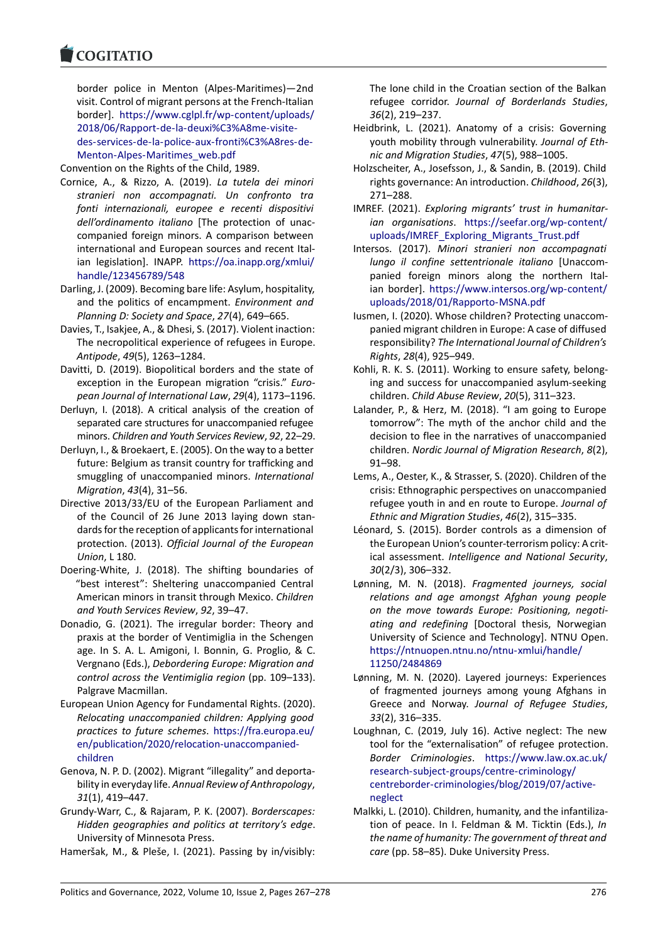#### COMITATIO

border police in Menton (Alpes‐Maritimes)—2nd [visit. Control of m](https://www.cogitatiopress.com)igrant persons at the French‐Italian border]. https://www.cglpl.fr/wp‐content/uploads/ 2018/06/Rapport‐de‐la‐deuxi%C3%A8me‐visite‐ des‐services‐de‐la‐police‐aux‐fronti%C3%A8res‐de‐ Menton‐Alpes‐Maritimes\_web.pdf

Convention [on the Rights of the Child, 1989.](https://www.cglpl.fr/wp-content/uploads/2018/06/Rapport-de-la-deuxi%C3%A8me-visite-des-services-de-la-police-aux-fronti%C3%A8res-de-Menton-Alpes-Maritimes_web.pdf)

- Cor[nice, A., & Rizzo, A. \(2019\).](https://www.cglpl.fr/wp-content/uploads/2018/06/Rapport-de-la-deuxi%C3%A8me-visite-des-services-de-la-police-aux-fronti%C3%A8res-de-Menton-Alpes-Maritimes_web.pdf) *La tutela dei minori [stranieri non accompagnati. Un confronto tra](https://www.cglpl.fr/wp-content/uploads/2018/06/Rapport-de-la-deuxi%C3%A8me-visite-des-services-de-la-police-aux-fronti%C3%A8res-de-Menton-Alpes-Maritimes_web.pdf) [fonti internazionali, europee e re](https://www.cglpl.fr/wp-content/uploads/2018/06/Rapport-de-la-deuxi%C3%A8me-visite-des-services-de-la-police-aux-fronti%C3%A8res-de-Menton-Alpes-Maritimes_web.pdf)centi dispositivi dell'ordinamento italiano* [The protection of unac‐ companied foreign minors. A comparison between international and European sources and recent Ital‐ ian legislation]. INAPP. https://oa.inapp.org/xmlui/ handle/123456789/548
- Darling, J. (2009). Becoming bare life: Asylum, hospitality, and the politics of encampment. *Environment and Planning D: Society and Space*, *27*[\(4\), 649–665.](https://oa.inapp.org/xmlui/handle/123456789/548)
- Da[vies, T., Isakjee, A., & Dhe](https://oa.inapp.org/xmlui/handle/123456789/548)si, S. (2017). Violent inaction: The necropolitical experience of refugees in Europe. *Antipode*, *49*(5), 1263–1284.
- Davitti, D. (2019). Biopolitical borders and the state of exception in the European migration "crisis." *Euro‐ pean Journal of International Law*, *29*(4), 1173–1196.
- Derluyn, I. (2018). A critical analysis of the creation of separated care structures for unaccompanied refugee minors. *Children and Youth Services Review*, *92*, 22–29.
- Derluyn, I., & Broekaert, E. (2005). On the way to a better future: Belgium as transit country for trafficking and smuggling of unaccompanied minors. *International Migration*, *43*(4), 31–56.
- Directive 2013/33/EU of the European Parliament and of the Council of 26 June 2013 laying down stan‐ dards for the reception of applicants for international protection. (2013). *Official Journal of the European Union*, L 180.
- Doering‐White, J. (2018). The shifting boundaries of "best interest": Sheltering unaccompanied Central American minors in transit through Mexico. *Children and Youth Services Review*, *92*, 39–47.
- Donadio, G. (2021). The irregular border: Theory and praxis at the border of Ventimiglia in the Schengen age. In S. A. L. Amigoni, I. Bonnin, G. Proglio, & C. Vergnano (Eds.), *Debordering Europe: Migration and control across the Ventimiglia region* (pp. 109–133). Palgrave Macmillan.
- European Union Agency for Fundamental Rights. (2020). *Relocating unaccompanied children: Applying good practices to future schemes*. https://fra.europa.eu/ en/publication/2020/relocation-unaccompaniedchildren
- Genova, N. P. D. (2002). Migrant "illegality" and deporta‐ bility in everyday life. *Annual R[eview of Anthropology](https://fra.europa.eu/en/publication/2020/relocation-unaccompanied-children)*, *31*[\(1\), 419–447.](https://fra.europa.eu/en/publication/2020/relocation-unaccompanied-children)
- Gru[ndy‐War](https://fra.europa.eu/en/publication/2020/relocation-unaccompanied-children)r, C., & Rajaram, P. K. (2007). *Borderscapes: Hidden geographies and politics at territory's edge*. University of Minnesota Press.
- Hameršak, M., & Pleše, I. (2021). Passing by in/visibly:

The lone child in the Croatian section of the Balkan refugee corridor. *Journal of Borderlands Studies*, *36*(2), 219–237.

- Heidbrink, L. (2021). Anatomy of a crisis: Governing youth mobility through vulnerability. *Journal of Eth‐ nic and Migration Studies*, *47*(5), 988–1005.
- Holzscheiter, A., Josefsson, J., & Sandin, B. (2019). Child rights governance: An introduction. *Childhood*, *26*(3), 271–288.
- IMREF. (2021). *Exploring migrants' trust in humanitar‐ ian organisations*. https://seefar.org/wp‐content/ uploads/IMREF\_Exploring\_Migrants\_Trust.pdf
- Intersos. (2017). *Minori stranieri non accompagnati lungo il confine settentrionale italiano* [Unaccom‐ panied foreign minors along the northern Italian border]. [https://www.intersos.org/wp‐con](https://seefar.org/wp-content/uploads/IMREF_Exploring_Migrants_Trust.pdf)tent/ uploads/2018/01/Rapporto‐MSNA.pdf
- Iusmen, I. (2020). Whose children? Protecting unaccom‐ panied migrant children in Europe: A case of diffused responsibility? *[The International Journal of Children's](https://www.intersos.org/wp-content/uploads/2018/01/Rapporto-MSNA.pdf) Rights*, *28*[\(4\), 925–949.](https://www.intersos.org/wp-content/uploads/2018/01/Rapporto-MSNA.pdf)
- Kohli, R. K. S. (2011). Working to ensure safety, belong‐ ing and success for unaccompanied asylum‐seeking children. *Child Abuse Review*, *20*(5), 311–323.
- Lalander, P., & Herz, M. (2018). "I am going to Europe tomorrow": The myth of the anchor child and the decision to flee in the narratives of unaccompanied children. *Nordic Journal of Migration Research*, *8*(2), 91–98.
- Lems, A., Oester, K., & Strasser, S. (2020). Children of the crisis: Ethnographic perspectives on unaccompanied refugee youth in and en route to Europe. *Journal of Ethnic and Migration Studies*, *46*(2), 315–335.
- Léonard, S. (2015). Border controls as a dimension of the European Union's counter‐terrorism policy: A crit‐ ical assessment. *Intelligence and National Security*, *30*(2/3), 306–332.
- Lønning, M. N. (2018). *Fragmented journeys, social relations and age amongst Afghan young people on the move towards Europe: Positioning, negoti‐ ating and redefining* [Doctoral thesis, Norwegian University of Science and Technology]. NTNU Open. https://ntnuopen.ntnu.no/ntnu‐xmlui/handle/ 11250/2484869
- Lønning, M. N. (2020). Layered journeys: Experiences of fragmented journeys among young Afghans in Greece and Norway. *[Journal of Refugee Stu](https://ntnuopen.ntnu.no/ntnu-xmlui/handle/11250/2484869)dies*, *33*[\(2\), 316–335.](https://ntnuopen.ntnu.no/ntnu-xmlui/handle/11250/2484869)
- Loughnan, C. (2019, July 16). Active neglect: The new tool for the "externalisation" of refugee protection. *Border Criminologies*. https://www.law.ox.ac.uk/ research‐subject‐groups/centre‐criminology/ centreborder‐criminologies/blog/2019/07/active‐ neglect
- Malkki, L. (2010). Children, h[umanity, and the infantiliza‐](https://www.law.ox.ac.uk/research-subject-groups/centre-criminology/centreborder-criminologies/blog/2019/07/active-neglect) [tion of peace. In I. Feldman & M. Ticktin \(Ed](https://www.law.ox.ac.uk/research-subject-groups/centre-criminology/centreborder-criminologies/blog/2019/07/active-neglect)s.), *In [the name of humanity: The government of threat an](https://www.law.ox.ac.uk/research-subject-groups/centre-criminology/centreborder-criminologies/blog/2019/07/active-neglect)d [care](https://www.law.ox.ac.uk/research-subject-groups/centre-criminology/centreborder-criminologies/blog/2019/07/active-neglect)* (pp. 58–85). Duke University Press.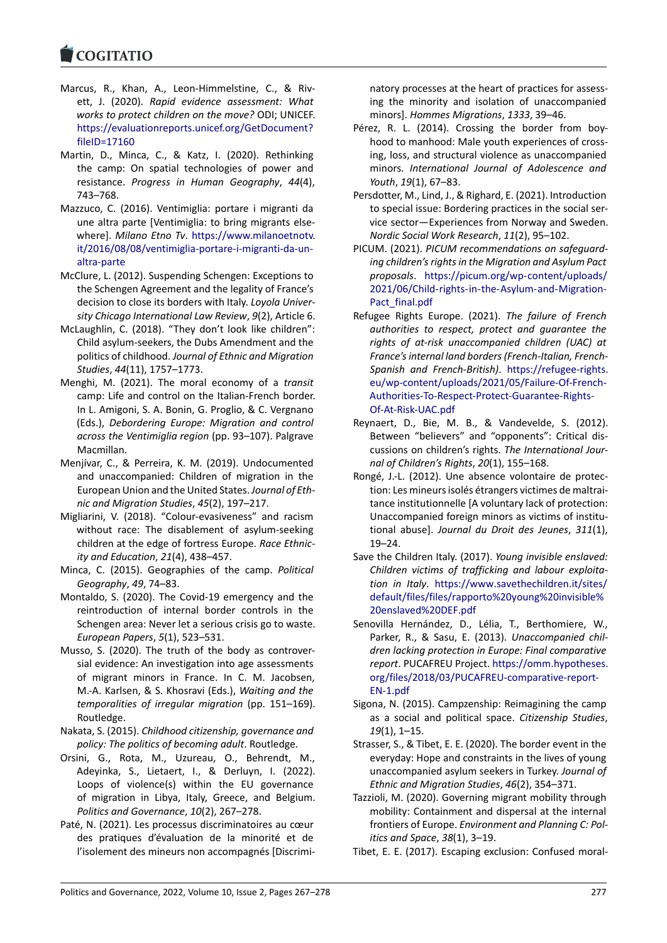#### COQUIATIO

- Marcus, R., Khan, A., Leon-Himmelstine, C., & Rivett, J. (2020). *Rapid evidence assessment: What [works to protect](https://www.cogitatiopress.com) children on the move?* ODI; UNICEF. https://evaluationreports.unicef.org/GetDocument? fileID=17160
- Martin, D., Minca, C., & Katz, I. (2020). Rethinking the camp: On spatial technologies of power and resistance. *[Progress in Human Geography](https://evaluationreports.unicef.org/GetDocument?fileID=17160)*, *44*(4), [743–768.](https://evaluationreports.unicef.org/GetDocument?fileID=17160)
- Mazzuco, C. (2016). Ventimiglia: portare i migranti da une altra parte [Ventimiglia: to bring migrants else‐ where]. *Milano Etno Tv*. https://www.milanoetnotv. it/2016/08/08/ventimiglia‐portare‐i‐migranti‐da‐un‐ altra‐parte
- McClure, L. (2012). Suspending Schengen: Exceptions to the Schengen Agreement [and the legality of France's](https://www.milanoetnotv.it/2016/08/08/ventimiglia-portare-i-migranti-da-un-altra-parte) [decision to close its borders with Italy.](https://www.milanoetnotv.it/2016/08/08/ventimiglia-portare-i-migranti-da-un-altra-parte) *Loyola Univer‐ [sity Chicago](https://www.milanoetnotv.it/2016/08/08/ventimiglia-portare-i-migranti-da-un-altra-parte) International Law Review*, *9*(2), Article 6.
- McLaughlin, C. (2018). "They don't look like children": Child asylum‐seekers, the Dubs Amendment and the politics of childhood. *Journal of Ethnic and Migration Studies*, *44*(11), 1757–1773.
- Menghi, M. (2021). The moral economy of a *transit* camp: Life and control on the Italian‐French border. In L. Amigoni, S. A. Bonin, G. Proglio, & C. Vergnano (Eds.), *Debordering Europe: Migration and control across the Ventimiglia region* (pp. 93–107). Palgrave Macmillan.
- Menjívar, C., & Perreira, K. M. (2019). Undocumented and unaccompanied: Children of migration in the European Union and the United States.*Journal of Eth‐ nic and Migration Studies*, *45*(2), 197–217.
- Migliarini, V. (2018). "Colour‐evasiveness" and racism without race: The disablement of asylum-seeking children at the edge of fortress Europe. *Race Ethnic‐ ity and Education*, *21*(4), 438–457.
- Minca, C. (2015). Geographies of the camp. *Political Geography*, *49*, 74–83.
- Montaldo, S. (2020). The Covid‐19 emergency and the reintroduction of internal border controls in the Schengen area: Never let a serious crisis go to waste. *European Papers*, *5*(1), 523–531.
- Musso, S. (2020). The truth of the body as controver‐ sial evidence: An investigation into age assessments of migrant minors in France. In C. M. Jacobsen, M.‐A. Karlsen, & S. Khosravi (Eds.), *Waiting and the temporalities of irregular migration* (pp. 151–169). Routledge.
- Nakata, S. (2015). *Childhood citizenship, governance and policy: The politics of becoming adult*. Routledge.
- Orsini, G., Rota, M., Uzureau, O., Behrendt, M., Adeyinka, S., Lietaert, I., & Derluyn, I. (2022). Loops of violence(s) within the EU governance of migration in Libya, Italy, Greece, and Belgium. *Politics and Governance*, *10*(2), 267–278.
- Paté, N. (2021). Les processus discriminatoires au cœur des pratiques d'évaluation de la minorité et de l'isolement des mineurs non accompagnés [Discrimi‐

natory processes at the heart of practices for assess‐ ing the minority and isolation of unaccompanied minors]. *Hommes Migrations*, *1333*, 39–46.

- Pérez, R. L. (2014). Crossing the border from boyhood to manhood: Male youth experiences of cross‐ ing, loss, and structural violence as unaccompanied minors. *International Journal of Adolescence and Youth*, *19*(1), 67–83.
- Persdotter, M., Lind, J., & Righard, E. (2021). Introduction to special issue: Bordering practices in the social ser‐ vice sector—Experiences from Norway and Sweden. *Nordic Social Work Research*, *11*(2), 95–102.
- PICUM. (2021). *PICUM recommendations on safeguard‐ ing children's rights in the Migration and Asylum Pact proposals*. https://picum.org/wp‐content/uploads/ 2021/06/Child‐rights‐in‐the‐Asylum‐and‐Migration‐ Pact\_final.pdf
- Refugee Rights Europe. (2021). *The failure of French authorities [to respect, protect and guarantee the](https://picum.org/wp-content/uploads/2021/06/Child-rights-in-the-Asylum-and-Migration-Pact_final.pdf) [rights of at‐risk unaccompanied children \(UAC\) at](https://picum.org/wp-content/uploads/2021/06/Child-rights-in-the-Asylum-and-Migration-Pact_final.pdf) [France's intern](https://picum.org/wp-content/uploads/2021/06/Child-rights-in-the-Asylum-and-Migration-Pact_final.pdf)al land borders (French‐Italian, French‐ Spanish and French‐British)*. https://refugee‐rights. eu/wp‐content/uploads/2021/05/Failure‐Of‐French‐ Authorities‐To‐Respect‐Protect‐Guarantee‐Rights‐ Of‐At‐Risk‐UAC.pdf
- Reynaert, D., Bie, M. B., & V[andevelde, S. \(2012\).](https://refugee-rights.eu/wp-content/uploads/2021/05/Failure-Of-French-Authorities-To-Respect-Protect-Guarantee-Rights-Of-At-Risk-UAC.pdf) [Between "believers" and "opponents": Critical dis‐](https://refugee-rights.eu/wp-content/uploads/2021/05/Failure-Of-French-Authorities-To-Respect-Protect-Guarantee-Rights-Of-At-Risk-UAC.pdf) [cussions on children's rights.](https://refugee-rights.eu/wp-content/uploads/2021/05/Failure-Of-French-Authorities-To-Respect-Protect-Guarantee-Rights-Of-At-Risk-UAC.pdf) *The International Jour‐ [nal of Children's Rig](https://refugee-rights.eu/wp-content/uploads/2021/05/Failure-Of-French-Authorities-To-Respect-Protect-Guarantee-Rights-Of-At-Risk-UAC.pdf)hts*, *20*(1), 155–168.
- Rongé, J.‐L. (2012). Une absence volontaire de protec‐ tion: Les mineurs isolés étrangers victimes de maltrai‐ tance institutionnelle [A voluntary lack of protection: Unaccompanied foreign minors as victims of institu‐ tional abuse]. *Journal du Droit des Jeunes*, *311*(1), 19–24.
- Save the Children Italy. (2017). *Young invisible enslaved: Children victims of trafficking and labour exploita‐ tion in Italy*. https://www.savethechildren.it/sites/ default/files/files/rapporto%20young%20invisible% 20enslaved%20DEF.pdf
- Senovilla Hernández, D., Lélia, T., Berthomiere, W., Parker, R., & Sasu, E. (2013). *[Unaccompanied chil‐](https://www.savethechildren.it/sites/default/files/files/rapporto%20young%20invisible%20enslaved%20DEF.pdf) [dren lacking protection in Europe: Final comparative](https://www.savethechildren.it/sites/default/files/files/rapporto%20young%20invisible%20enslaved%20DEF.pdf) report*[. PUCAFREU Proje](https://www.savethechildren.it/sites/default/files/files/rapporto%20young%20invisible%20enslaved%20DEF.pdf)ct. https://omm.hypotheses. org/files/2018/03/PUCAFREU‐comparative‐report‐ EN‐1.pdf
- Sigona, N. (2015). Campzenship: Reimagining the camp as a social and political space. *[Citizenship Studies](https://omm.hypotheses.org/files/2018/03/PUCAFREU-comparative-report-EN-1.pdf)*, *19*[\(1\), 1–15.](https://omm.hypotheses.org/files/2018/03/PUCAFREU-comparative-report-EN-1.pdf)
- Str[asser, S., &](https://omm.hypotheses.org/files/2018/03/PUCAFREU-comparative-report-EN-1.pdf) Tibet, E. E. (2020). The border event in the everyday: Hope and constraints in the lives of young unaccompanied asylum seekers in Turkey. *Journal of Ethnic and Migration Studies*, *46*(2), 354–371.
- Tazzioli, M. (2020). Governing migrant mobility through mobility: Containment and dispersal at the internal frontiers of Europe. *Environment and Planning C: Pol‐ itics and Space*, *38*(1), 3–19.
- Tibet, E. E. (2017). Escaping exclusion: Confused moral‐